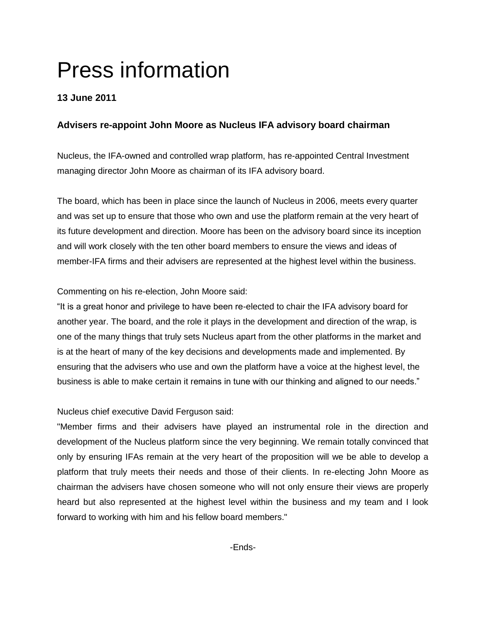# Press information

# **13 June 2011**

# **Advisers re-appoint John Moore as Nucleus IFA advisory board chairman**

Nucleus, the IFA-owned and controlled wrap platform, has re-appointed Central Investment managing director John Moore as chairman of its IFA advisory board.

The board, which has been in place since the launch of Nucleus in 2006, meets every quarter and was set up to ensure that those who own and use the platform remain at the very heart of its future development and direction. Moore has been on the advisory board since its inception and will work closely with the ten other board members to ensure the views and ideas of member-IFA firms and their advisers are represented at the highest level within the business.

## Commenting on his re-election, John Moore said:

"It is a great honor and privilege to have been re-elected to chair the IFA advisory board for another year. The board, and the role it plays in the development and direction of the wrap, is one of the many things that truly sets Nucleus apart from the other platforms in the market and is at the heart of many of the key decisions and developments made and implemented. By ensuring that the advisers who use and own the platform have a voice at the highest level, the business is able to make certain it remains in tune with our thinking and aligned to our needs."

## Nucleus chief executive David Ferguson said:

"Member firms and their advisers have played an instrumental role in the direction and development of the Nucleus platform since the very beginning. We remain totally convinced that only by ensuring IFAs remain at the very heart of the proposition will we be able to develop a platform that truly meets their needs and those of their clients. In re-electing John Moore as chairman the advisers have chosen someone who will not only ensure their views are properly heard but also represented at the highest level within the business and my team and I look forward to working with him and his fellow board members."

-Ends-